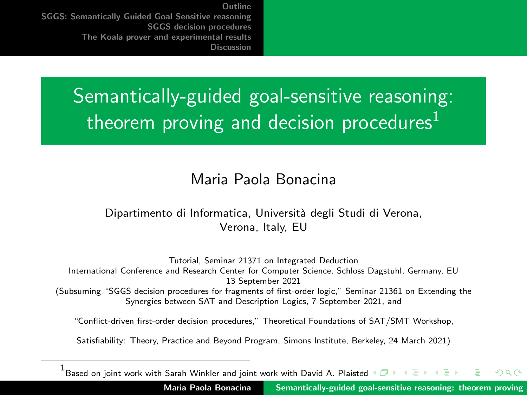# <span id="page-0-0"></span>Semantically-guided goal-sensitive reasoning: theorem proving and decision procedures<sup>1</sup>

#### Maria Paola Bonacina

#### Dipartimento di Informatica, Università degli Studi di Verona, Verona, Italy, EU

Tutorial, Seminar 21371 on Integrated Deduction International Conference and Research Center for Computer Science, Schloss Dagstuhl, Germany, EU 13 September 2021 (Subsuming "SGGS decision procedures for fragments of first-order logic," Seminar 21361 on Extending the Synergies between SAT and Description Logics, 7 September 2021, and

"Conflict-driven first-order decision procedures," Theoretical Foundations of SAT/SMT Workshop,

Satisfiability: Theory, Practice and Beyond Program, Simons Institute, Berkeley, 24 March 2021)

 $^1$ Based on joint work with Sarah Winkler and joint work with David A. [Pla](#page-0-0)is[ted](#page-1-0) つのへ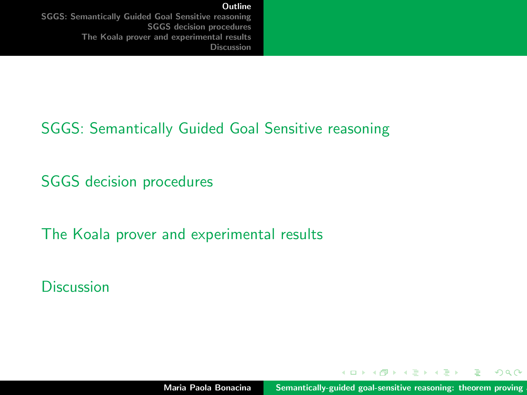[Outline](#page-1-0)

<span id="page-1-0"></span>[SGGS: Semantically Guided Goal Sensitive reasoning](#page-2-0) [SGGS decision procedures](#page-22-0) [The Koala prover and experimental results](#page-37-0) [Discussion](#page-41-0)

#### [SGGS: Semantically Guided Goal Sensitive reasoning](#page-2-0)

[SGGS decision procedures](#page-22-0)

[The Koala prover and experimental results](#page-37-0)

**[Discussion](#page-41-0)** 

イロメ イ押 トラ ミトラ ミント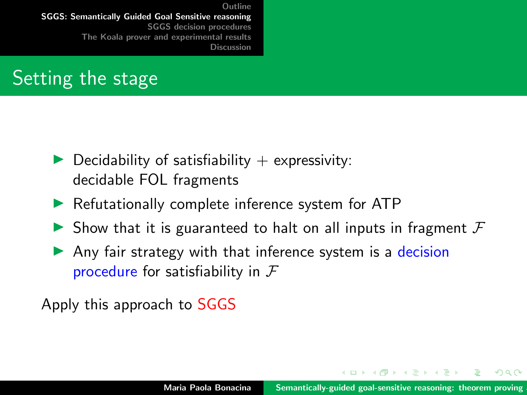# <span id="page-2-0"></span>Setting the stage

- $\blacktriangleright$  Decidability of satisfiability + expressivity: decidable FOL fragments
- $\blacktriangleright$  Refutationally complete inference system for ATP
- In Show that it is guaranteed to halt on all inputs in fragment  $F$
- $\triangleright$  Any fair strategy with that inference system is a decision procedure for satisfiability in  $\mathcal F$

Apply this approach to SGGS

イロメ マ桐 トマ ヨ トマ ヨメ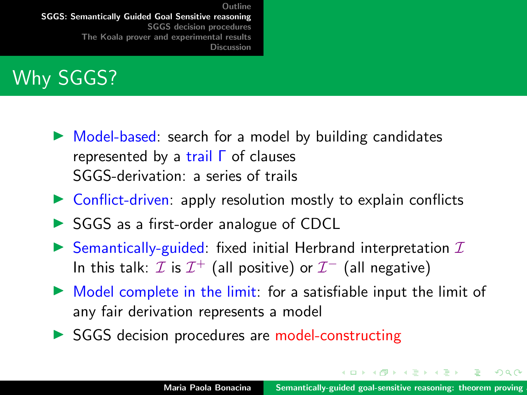# Why SGGS?

- $\triangleright$  Model-based: search for a model by building candidates represented by a trail Γ of clauses SGGS-derivation: a series of trails
- $\triangleright$  Conflict-driven: apply resolution mostly to explain conflicts
- $\triangleright$  SGGS as a first-order analogue of CDCL
- $\triangleright$  Semantically-guided: fixed initial Herbrand interpretation  $I$ In this talk:  $\mathcal I$  is  $\mathcal I^+$  (all positive) or  $\mathcal I^-$  (all negative)
- $\triangleright$  Model complete in the limit: for a satisfiable input the limit of any fair derivation represents a model
- $\triangleright$  SGGS decision procedures are model-constructing

オロメ オ個 ビオチャ オチャ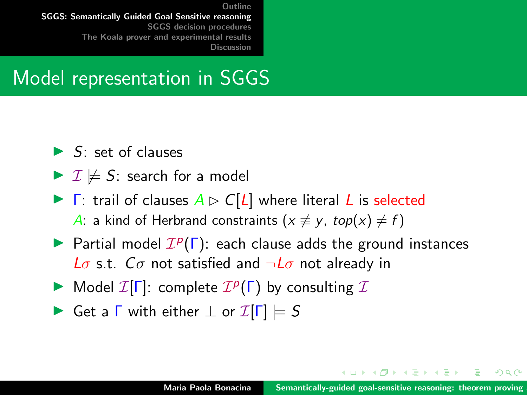#### Model representation in SGGS

- $\blacktriangleright$  S: set of clauses
- $\triangleright$   $\mathcal{I} \not\models$  S: search for a model
- $\blacktriangleright$   $\Gamma$ : trail of clauses  $A \triangleright C[L]$  where literal L is selected A: a kind of Herbrand constraints ( $x \not\equiv y$ , top(x)  $\neq f$ )
- Partial model  $\mathcal{I}^p(\Gamma)$ : each clause adds the ground instances L $\sigma$  s.t.  $C\sigma$  not satisfied and  $\neg L\sigma$  not already in
- Model  $\mathcal{I}[\Gamma]$ : complete  $\mathcal{I}^p(\Gamma)$  by consulting  $\mathcal{I}$
- $\triangleright$  Get a  $\Gamma$  with either  $\bot$  or  $\mathcal{I}[\Gamma] \models S$

イロメ イ押 トイラト イラトー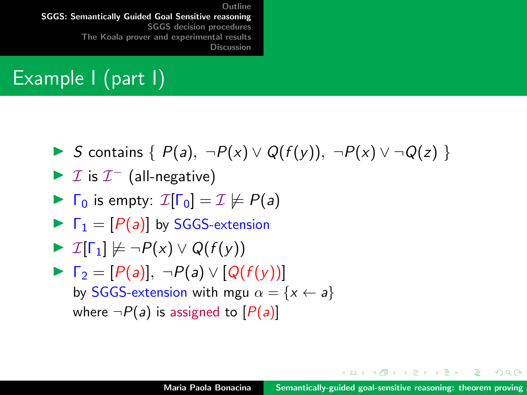# Example I (part I)

$$
\triangleright S \text{ contains } \{P(a), \neg P(x) \lor Q(f(y)), \neg P(x) \lor \neg Q(z)\}
$$

$$
\blacktriangleright \mathcal{I} \text{ is } \mathcal{I}^-\text{ (all-negative)}
$$

$$
\blacktriangleright \Gamma_0 \text{ is empty: } \mathcal{I}[\Gamma_0] = \mathcal{I} \not\models P(a)
$$

$$
\blacktriangleright \ \Gamma_1 = [P(a)] \text{ by SGGS-extension}
$$

$$
\blacktriangleright \mathcal{I}[\Gamma_1] \not\models \neg P(x) \vee Q(f(y))
$$

► 
$$
\Gamma_2 = [P(a)], \neg P(a) \lor [Q(f(y))]
$$
  
by SGGS-extension with mgu  $\alpha = \{x \leftarrow a\}$   
where  $\neg P(a)$  is assigned to  $[P(a)]$ 

メロメ メタメ メミメ メミメー

重

 $299$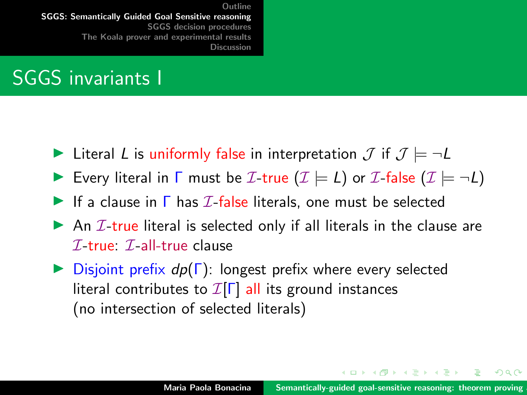## SGGS invariants I

- In Literal L is uniformly false in interpretation  $\mathcal{J}$  if  $\mathcal{J} \models \neg L$
- **IDE** Every literal in **F** must be *I*-true  $(I \models L)$  or *I*-false  $(I \models \neg L)$
- If a clause in  $\Gamma$  has  $I$ -false literals, one must be selected
- $\triangleright$  An *I*-true literal is selected only if all literals in the clause are  $\mathcal{I}$ -true:  $\mathcal{I}$ -all-true clause
- $\triangleright$  Disjoint prefix  $dp(\Gamma)$ : longest prefix where every selected literal contributes to  $\mathcal{I}[\Gamma]$  all its ground instances (no intersection of selected literals)

イロメ イ押 トラ ミトラ ミント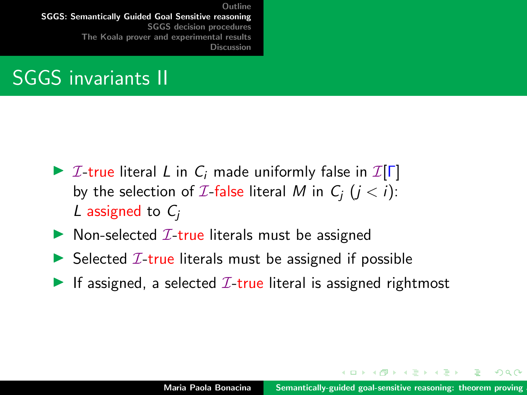## SGGS invariants II

- $\triangleright$  *I*-true literal *L* in *C<sub>i</sub>* made uniformly false in *I*[Γ] by the selection of *I*-false literal *M* in  $C_i$  ( $i < i$ ): L assigned to  $C_i$
- $\triangleright$  Non-selected  $\mathcal{I}\text{-true}$  literals must be assigned
- $\triangleright$  Selected *I*-true literals must be assigned if possible
- If assigned, a selected  $I$ -true literal is assigned rightmost

イロメ イ押 トラ ミトラ ミント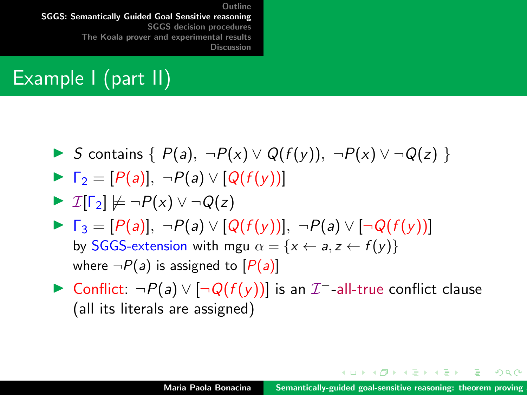# Example I (part II)

\n- *S* contains { 
$$
P(a), \neg P(x) \vee Q(f(y)), \neg P(x) \vee \neg Q(z)
$$
 }
\n- $\Gamma_2 = [P(a)], \neg P(a) \vee [Q(f(y))]$
\n- $\mathcal{I}[\Gamma_2] \not\models \neg P(x) \vee \neg Q(z)$
\n- $\Gamma_3 = [P(a)], \neg P(a) \vee [Q(f(y))], \neg P(a) \vee [\neg Q(f(y))]$
\n- by SGGS-extension with mgu  $\alpha = \{x \leftarrow a, z \leftarrow f(y)\}$
\n

where  $\neg P(a)$  is assigned to  $[P(a)]$ 

► Conflict:  $\neg P(a) \vee [\neg Q(f(y))]$  is an  $\mathcal{I}$ <sup>-</sup>-all-true conflict clause (all its literals are assigned)

イロメ イ押 トイラト イラトー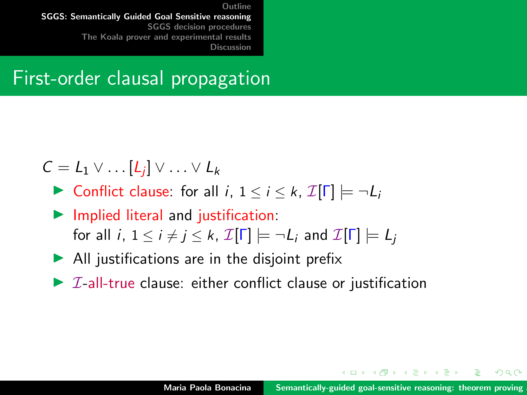#### First-order clausal propagation

$$
\mathcal{C} = \mathcal{L}_1 \vee \ldots [\mathcal{L}_j] \vee \ldots \vee \mathcal{L}_k
$$

- $\triangleright$  Conflict clause: for all *i*,  $1 \le i \le k$ ,  $\mathcal{I}[\Gamma] \models \neg L_i$
- $\blacktriangleright$  Implied literal and justification: for all i,  $1 \le i \ne j \le k$ ,  $\mathcal{I}[\Gamma] \models \neg L_i$  and  $\mathcal{I}[\Gamma] \models L_i$
- $\blacktriangleright$  All justifications are in the disjoint prefix
- $\triangleright$  *I*-all-true clause: either conflict clause or justification

イロメ イ押 トラ ミトラ ミント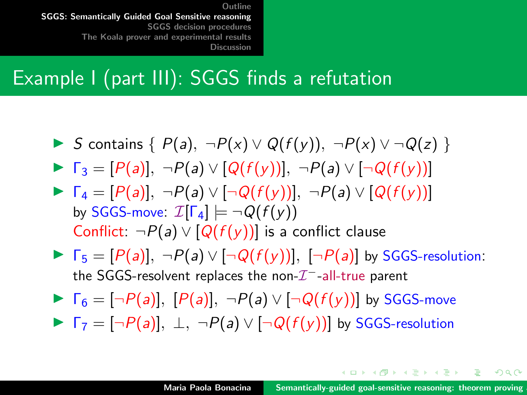#### Example I (part III): SGGS finds a refutation

- I S contains  $\{P(a), \neg P(x) \lor Q(f(y)), \neg P(x) \lor \neg Q(z)\}$
- $\blacktriangleright \Gamma_3 = [P(a)], \neg P(a) \vee [Q(f(y))], \neg P(a) \vee [\neg Q(f(y))]$
- $\blacktriangleright \Gamma_4 = [P(a)], \neg P(a) \vee [\neg Q(f(y))], \neg P(a) \vee [Q(f(y))]$ by SGGS-move:  $\mathcal{I}[\Gamma_A] \models \neg Q(f(v))$ Conflict:  $\neg P(a) \vee [Q(f(y))]$  is a conflict clause
- $\blacktriangleright \Gamma_5 = [P(a)], \neg P(a) \vee [\neg Q(f(y))], [\neg P(a)]$  by SGGS-resolution: the SGGS-resolvent replaces the non- $\mathcal{I}^+$ -all-true parent
- $\blacktriangleright \ \Gamma_6 = [\neg P(a)], \ [P(a)], \ \neg P(a) \vee [\neg Q(f(y))]$  by SGGS-move
- $\blacktriangleright \ \Gamma_7 = [\neg P(a)], \ \bot, \ \neg P(a) \vee [\neg Q(f(y))]$  by SGGS-resolution

イロメ イ押 トイラ トイラメー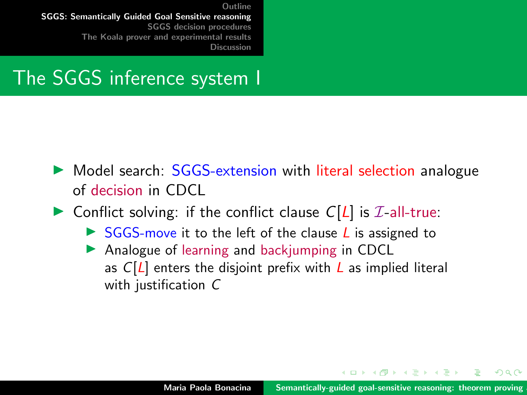#### The SGGS inference system I

- $\triangleright$  Model search:  $SGGS$ -extension with literal selection analogue of decision in CDCL
- $\triangleright$  Conflict solving: if the conflict clause  $C[L]$  is  $\mathcal{I}$ -all-true:
	- $\triangleright$  SGGS-move it to the left of the clause L is assigned to
	- $\triangleright$  Analogue of learning and backjumping in CDCL as  $C[L]$  enters the disjoint prefix with L as implied literal with justification C

イロト イ団 トイラトイラ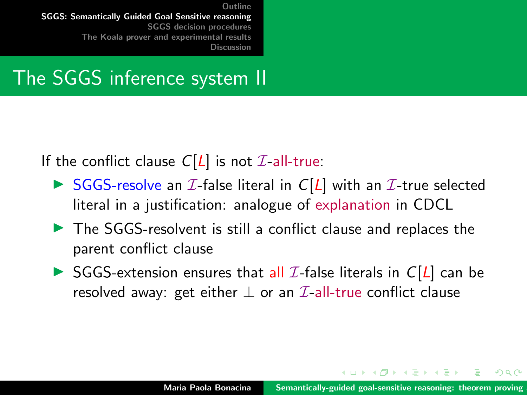#### The SGGS inference system II

If the conflict clause  $C[L]$  is not  $\mathcal{I}$ -all-true:

- $\triangleright$  SGGS-resolve an  $\mathcal I$ -false literal in  $C[L]$  with an  $\mathcal I$ -true selected literal in a justification: analogue of explanation in CDCL
- $\blacktriangleright$  The SGGS-resolvent is still a conflict clause and replaces the parent conflict clause
- $\triangleright$  SGGS-extension ensures that all *I*-false literals in  $C[L]$  can be resolved away: get either  $\perp$  or an  $\mathcal{I}\text{-}$ all-true conflict clause

イロメ マ桐 トマ ヨ トマ ヨメ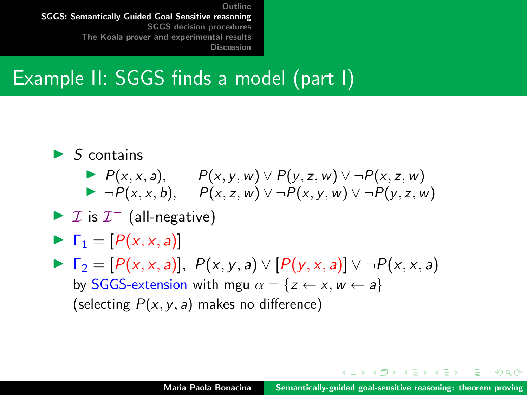## Example II: SGGS finds a model (part I)

- $\blacktriangleright$  S contains  $\blacktriangleright$   $P(x, x, a),$   $P(x, y, w) \vee P(y, z, w) \vee \neg P(x, z, w)$ 
	- $\blacktriangleright \neg P(x, x, b), \quad P(x, z, w) \lor \neg P(x, y, w) \lor \neg P(y, z, w)$
- $\blacktriangleright$  *I* is  $I^-$  (all-negative)
- $\blacktriangleright \Gamma_1 = [P(x, x, a)]$
- $\blacktriangleright$   $\Gamma_2 = [P(x, x, a)], P(x, y, a) \vee [P(y, x, a)] \vee \neg P(x, x, a)$ by SGGS-extension with mgu  $\alpha = \{z \leftarrow x, w \leftarrow a\}$ (selecting  $P(x, y, a)$  makes no difference)

イロメ マ桐 トマ ヨ トマ ヨメ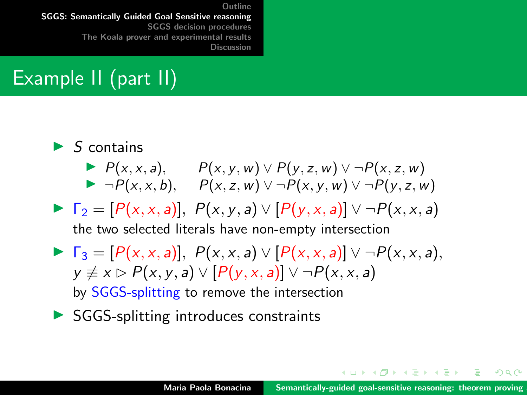# Example II (part II)

- $\blacktriangleright$  S contains  $\blacktriangleright$   $P(x, x, a),$   $P(x, y, w) \vee P(y, z, w) \vee \neg P(x, z, w)$  $\blacktriangleright \neg P(x, x, b), \quad P(x, z, w) \lor \neg P(x, y, w) \lor \neg P(y, z, w)$  $\blacktriangleright \ \Gamma_2 = [P(x, x, a)], P(x, y, a) \vee [P(y, x, a)] \vee \neg P(x, x, a)$ the two selected literals have non-empty intersection  $\blacktriangleright \ \Gamma_3 = [P(x, x, a)], P(x, x, a) \vee [P(x, x, a)] \vee \neg P(x, x, a),$  $y \not\equiv x \triangleright P(x, y, a) \vee [P(y, x, a)] \vee \neg P(x, x, a)$ by SGGS-splitting to remove the intersection
- $\triangleright$  SGGS-splitting introduces constraints

イロト イ押 トイモト イモトー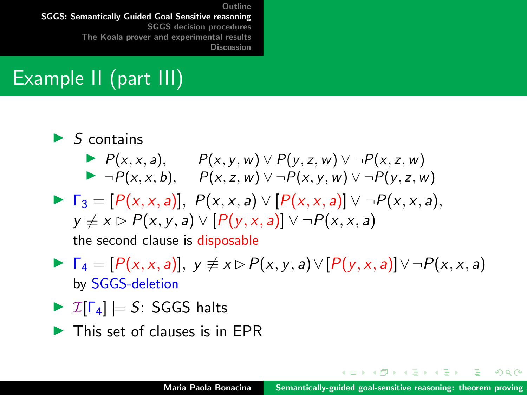# Example II (part III)

- $\blacktriangleright$  S contains
	- $\blacktriangleright$  P(x, x, a),  $P(x, y, w) \vee P(y, z, w) \vee \neg P(x, z, w)$  $\blacktriangleright \neg P(x, x, b), \quad P(x, z, w) \lor \neg P(x, y, w) \lor \neg P(y, z, w)$
- $\blacktriangleright \ \Gamma_3 = [P(x, x, a)], P(x, x, a) \lor [P(x, x, a)] \lor \neg P(x, x, a),$  $y \not\equiv x \triangleright P(x, y, a) \vee [P(y, x, a)] \vee \neg P(x, x, a)$ the second clause is disposable
- $\blacktriangleright \Gamma_4 = [P(x, x, a)], y \not\equiv x \triangleright P(x, y, a) \vee [P(y, x, a)] \vee \neg P(x, x, a)$ by SGGS-deletion
- $\triangleright$   $\mathcal{I}[\Gamma_4] \models S$ : SGGS halts
- $\blacktriangleright$  This set of clauses is in FPR

イロト イ押 トイモト イモトー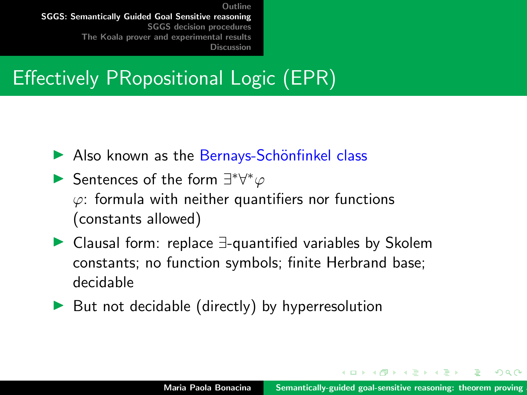# Effectively PRopositional Logic (EPR)

- $\blacktriangleright$  Also known as the Bernays-Schönfinkel class
- Sentences of the form  $\exists^*\forall^*\varphi$  $\varphi$ : formula with neither quantifiers nor functions (constants allowed)
- ▶ Clausal form: replace ∃-quantified variables by Skolem constants; no function symbols; finite Herbrand base; decidable
- $\triangleright$  But not decidable (directly) by hyperresolution

イロメ イ押 トラ ミトラ ミント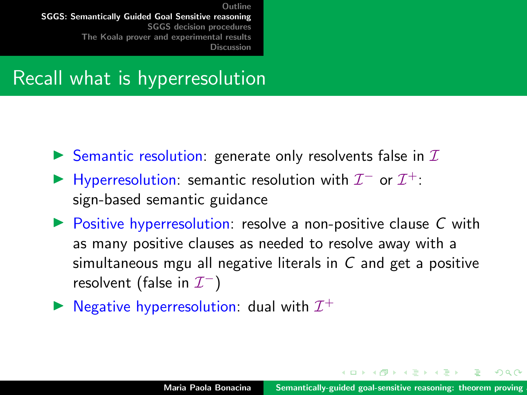#### Recall what is hyperresolution

- $\triangleright$  Semantic resolution: generate only resolvents false in  $I$
- ► Hyperresolution: semantic resolution with  $\mathcal{I}^-$  or  $\mathcal{I}^+$ : sign-based semantic guidance
- $\triangleright$  Positive hyperresolution: resolve a non-positive clause C with as many positive clauses as needed to resolve away with a simultaneous mgu all negative literals in C and get a positive resolvent (false in  $\mathcal{I}^-$ )
- $\blacktriangleright$  Negative hyperresolution: dual with  $\mathcal{I}^+$

イロメ イ押 トラ ミトラ ミト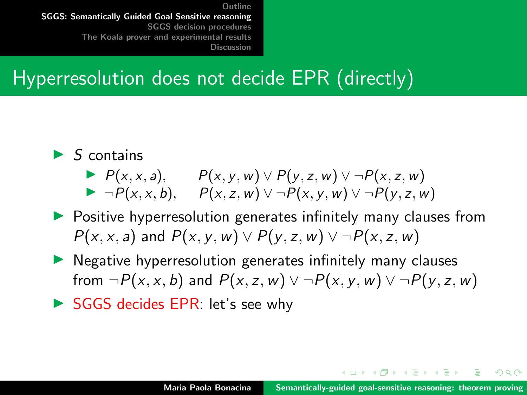#### Hyperresolution does not decide EPR (directly)

- $\blacktriangleright$  S contains
	- $\blacktriangleright$  P(x, x, a),  $P(x, y, w) \lor P(y, z, w) \lor \neg P(x, z, w)$  $\blacktriangleright \neg P(x, x, b), \quad P(x, z, w) \lor \neg P(x, y, w) \lor \neg P(y, z, w)$
- $\triangleright$  Positive hyperresolution generates infinitely many clauses from  $P(x, x, a)$  and  $P(x, y, w) \vee P(y, z, w) \vee \neg P(x, z, w)$
- $\triangleright$  Negative hyperresolution generates infinitely many clauses from  $\neg P(x, x, b)$  and  $P(x, z, w) \lor \neg P(x, y, w) \lor \neg P(y, z, w)$
- SGGS decides EPR: let's see why

イロメ マ桐 トマ ヨ トマ ヨメ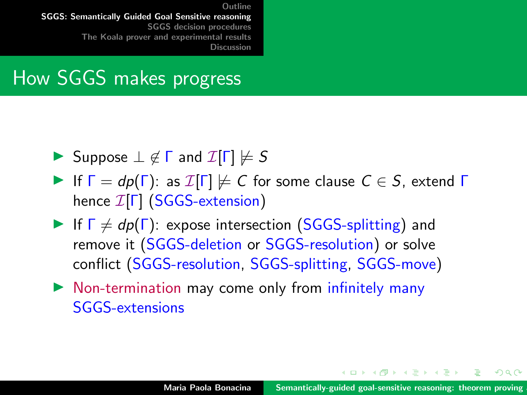#### How SGGS makes progress

- $\triangleright$  Suppose  $\bot \notin \Gamma$  and  $\mathcal{I}[\Gamma] \not\models S$
- If  $\Gamma = dp(\Gamma)$ : as  $\mathcal{I}[\Gamma] \not\models C$  for some clause  $C \in S$ , extend  $\Gamma$ hence I[Γ] (SGGS-extension)
- If  $\Gamma \neq dp(\Gamma)$ : expose intersection (SGGS-splitting) and remove it (SGGS-deletion or SGGS-resolution) or solve conflict (SGGS-resolution, SGGS-splitting, SGGS-move)
- $\triangleright$  Non-termination may come only from infinitely many SGGS-extensions

イロメ マ桐 トマ ヨ トマ ヨメ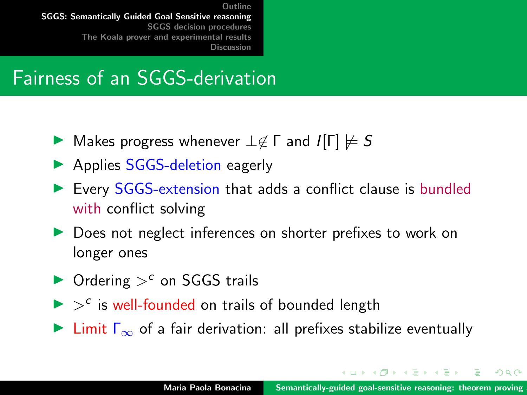#### Fairness of an SGGS-derivation

- $\triangleright$  Makes progress whenever  $\bot \notin \Gamma$  and  $\mathcal{I}[\Gamma] \not\models S$
- ▶ Applies SGGS-deletion eagerly
- $\triangleright$  Every SGGS-extension that adds a conflict clause is bundled with conflict solving
- ▶ Does not neglect inferences on shorter prefixes to work on longer ones
- $\triangleright$  Ordering  $>^c$  on SGGS trails
- $\triangleright$   $>$ <sup>c</sup> is well-founded on trails of bounded length
- $\triangleright$  Limit  $\Gamma_{\infty}$  of a fair derivation: all prefixes stabilize eventually

イロメ イ押 トイラト イラトー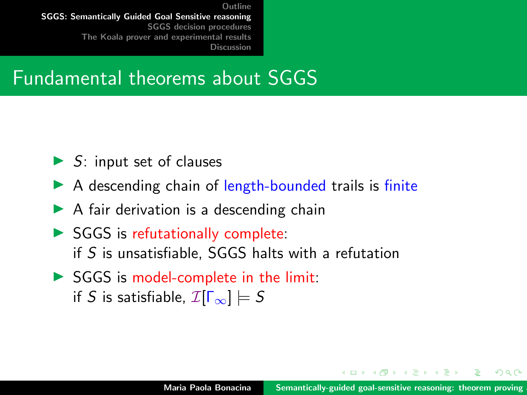#### Fundamental theorems about SGGS

- $\triangleright$  S: input set of clauses
- $\triangleright$  A descending chain of length-bounded trails is finite
- $\triangleright$  A fair derivation is a descending chain
- $\triangleright$  SGGS is refutationally complete: if S is unsatisfiable, SGGS halts with a refutation
- $\triangleright$  SGGS is model-complete in the limit: if S is satisfiable,  $\mathcal{I}[\Gamma_{\infty}] \models S$

イロメ マ桐 トマ ヨ トマ ヨメ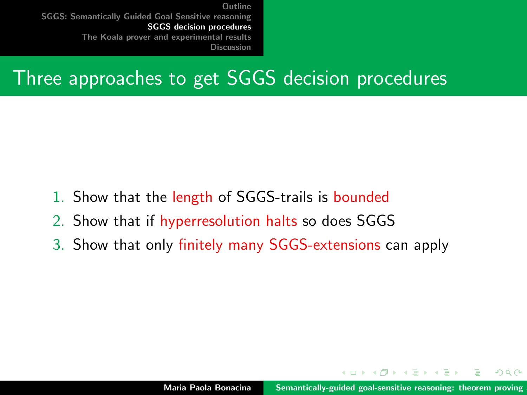#### <span id="page-22-0"></span>Three approaches to get SGGS decision procedures

- 1. Show that the length of SGGS-trails is bounded
- 2. Show that if hyperresolution halts so does SGGS
- 3. Show that only finitely many SGGS-extensions can apply

 $4.47 \times 4.77 \times 4.77$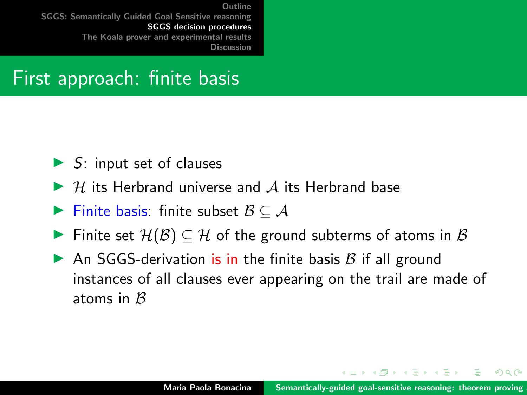#### First approach: finite basis

- $\triangleright$  S: input set of clauses
- $\triangleright$  H its Herbrand universe and A its Herbrand base
- $\blacktriangleright$  Finite basis: finite subset  $\mathcal{B} \subseteq \mathcal{A}$
- $\blacktriangleright$  Finite set  $\mathcal{H}(\mathcal{B}) \subseteq \mathcal{H}$  of the ground subterms of atoms in  $\mathcal{B}$
- An SGGS-derivation is in the finite basis  $\beta$  if all ground instances of all clauses ever appearing on the trail are made of atoms in  $\beta$

イロメ イ押 トラ ミトラ ミント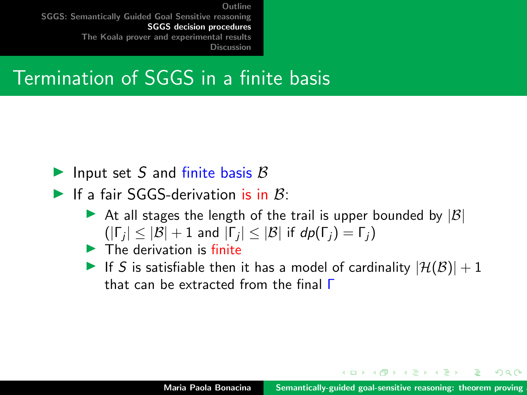#### Termination of SGGS in a finite basis

- Input set S and finite basis  $\beta$
- If a fair SGGS-derivation is in  $B_1$ :
	- At all stages the length of the trail is upper bounded by  $|\mathcal{B}|$  $(|\Gamma_j| \leq |\mathcal{B}| + 1$  and  $|\Gamma_j| \leq |\mathcal{B}|$  if  $dp(\Gamma_j) = \Gamma_j)$
	- $\blacktriangleright$  The derivation is finite
	- If S is satisfiable then it has a model of cardinality  $|\mathcal{H}(\mathcal{B})| + 1$ that can be extracted from the final Γ

イロメ イ押 トラ ミトラ ミント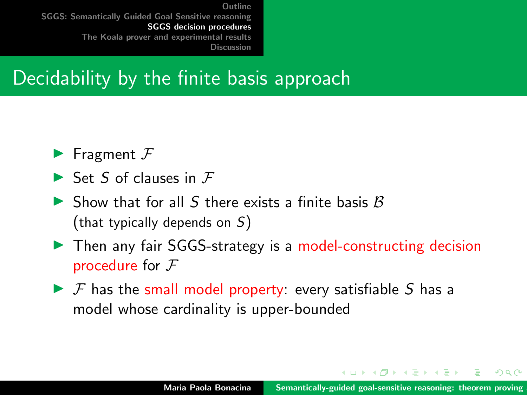#### Decidability by the finite basis approach

- $\blacktriangleright$  Fragment  $\digamma$
- $\blacktriangleright$  Set S of clauses in  $\digamma$
- $\triangleright$  Show that for all S there exists a finite basis B (that typically depends on S)
- ▶ Then any fair SGGS-strategy is a model-constructing decision procedure for  $F$
- $\triangleright$  F has the small model property: every satisfiable S has a model whose cardinality is upper-bounded

イロメ マ桐 トマ ヨ トマ ヨメ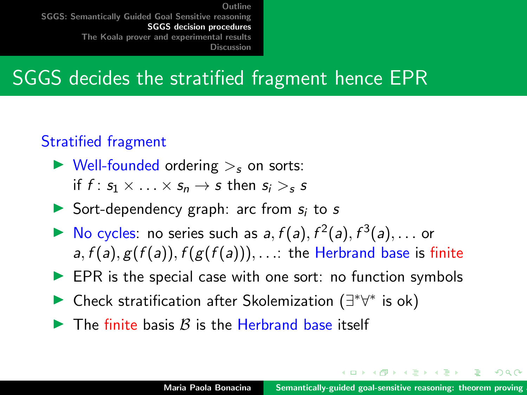#### SGGS decides the stratified fragment hence EPR

#### Stratified fragment

- $\triangleright$  Well-founded ordering  $\gt$ <sub>s</sub> on sorts: if  $f: s_1 \times \ldots \times s_n \rightarrow s$  then  $s_i > s$
- Sort-dependency graph: arc from  $s_i$  to s
- $\blacktriangleright$  No cycles: no series such as  $a, f(a), f^2(a), f^3(a), \ldots$  or a,  $f(a)$ ,  $g(f(a))$ ,  $f(g(f(a)))$ , ...: the Herbrand base is finite
- $\blacktriangleright$  EPR is the special case with one sort: no function symbols
- ► Check stratification after Skolemization ( $\exists^*\forall^*$  is ok)
- $\blacktriangleright$  The finite basis B is the Herbrand base itself

イロメ マ桐 トマ ヨ トマ ヨメ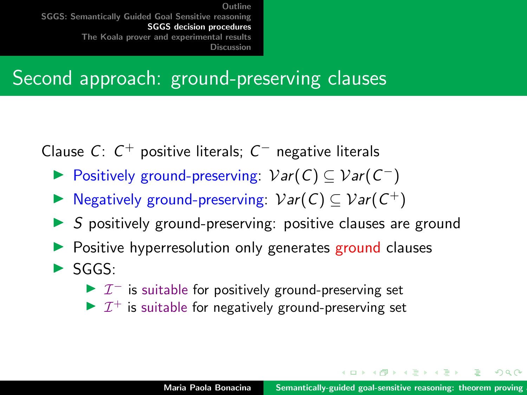#### Second approach: ground-preserving clauses

Clause  $C: C^+$  positive literals;  $C^-$  negative literals

- ► Positively ground-preserving:  $Var(C) \subseteq Var(C^{-})$
- ▶ Negatively ground-preserving:  $Var(C) \subseteq Var(C^+)$
- $\triangleright$  S positively ground-preserving: positive clauses are ground
- Positive hyperresolution only generates ground clauses
- $\blacktriangleright$  SGGS:
	- $\triangleright$   $\mathcal{I}^-$  is suitable for positively ground-preserving set
	- $\triangleright$   $\mathcal{I}^+$  is suitable for negatively ground-preserving set

イロメ イ押 トラ ミトラ ミト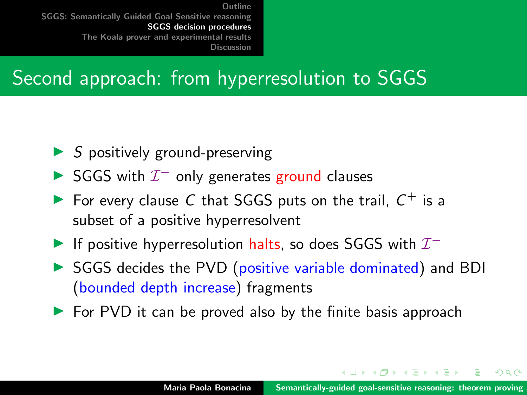## Second approach: from hyperresolution to SGGS

- $\triangleright$  S positively ground-preserving
- SGGS with  $\mathcal{I}^-$  only generates ground clauses
- For every clause C that SGGS puts on the trail,  $C^+$  is a subset of a positive hyperresolvent
- If positive hyperresolution halts, so does SGGS with  $\mathcal{I}^-$
- $\triangleright$  SGGS decides the PVD (positive variable dominated) and BDI (bounded depth increase) fragments
- $\triangleright$  For PVD it can be proved also by the finite basis approach

イロメ マ桐 トマ ヨ トマ ヨメ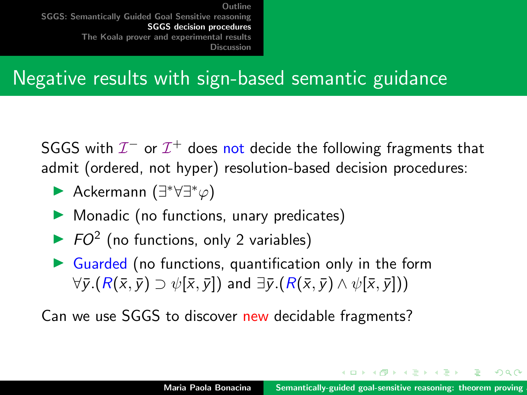#### Negative results with sign-based semantic guidance

<code>SGGS</code> with  $\mathcal{I}^-$  or  $\mathcal{I}^+$  does not decide the following fragments that admit (ordered, not hyper) resolution-based decision procedures:

- **►** Ackermann (∃\*∀∃\* $\varphi$ )
- $\blacktriangleright$  Monadic (no functions, unary predicates)
- $\triangleright$  FO<sup>2</sup> (no functions, only 2 variables)
- $\triangleright$  Guarded (no functions, quantification only in the form  $\forall \overline{y}.(R(\overline{x}, \overline{y}) \supset \psi[\overline{x}, \overline{y}])$  and  $\exists \overline{y}.(R(\overline{x}, \overline{y}) \wedge \psi[\overline{x}, \overline{y}]))$

Can we use SGGS to discover new decidable fragments?

イロメ イ押 トイラ トイラメー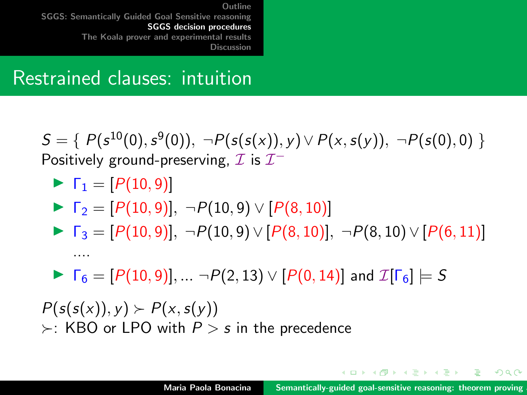#### Restrained clauses: intuition

 $S = \{ P(s^{10}(0), s^{9}(0)), \neg P(s(s(x)), y) \vee P(x, s(y)), \neg P(s(0), 0) \}$ Positively ground-preserving,  $\mathcal I$  is  $\mathcal I^-$ 

$$
\blacktriangleright \ \Gamma_1 = [P(10, 9)]
$$

....

$$
\blacktriangleright \ \Gamma_2 = [P(10,9)], \ \neg P(10,9) \vee [P(8,10)]
$$

$$
\blacktriangleright \ \Gamma_3 = [P(10,9)], \ \neg P(10,9) \vee [P(8,10)], \ \neg P(8,10) \vee [P(6,11)]
$$

 $\blacktriangleright \ \Gamma_6 = [P(10, 9)], \dots \neg P(2, 13) \vee [P(0, 14)]$  and  $\mathcal{I}[\Gamma_6] \models S$ 

 $P(s(s(x)), y) \succ P(x, s(y))$  $\succ$ : KBO or LPO with  $P > s$  in the precedence

イロメ イ押 トイラ トイラメー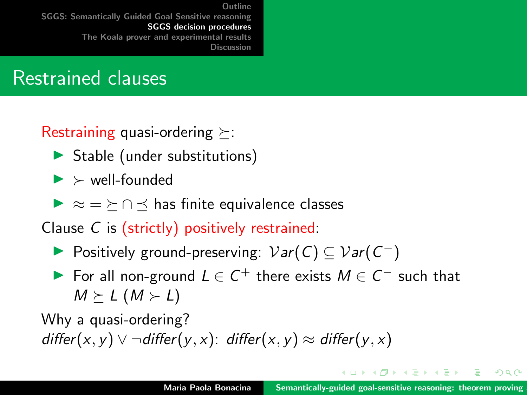#### Restrained clauses

Restraining quasi-ordering  $\succeq$ :

- $\triangleright$  Stable (under substitutions)
- $\blacktriangleright$   $\blacktriangleright$  well-founded

 $\triangleright \approx$   $=$   $\succ$   $\cap$   $\prec$  has finite equivalence classes

Clause C is (strictly) positively restrained:

- ▶ Positively ground-preserving:  $Var(C) \subseteq Var(C^{-})$
- For all non-ground  $L \in C^+$  there exists  $M \in C^-$  such that  $M \geq L$   $(M \geq L)$

Why a quasi-ordering? differ(x, y)  $\vee$  ¬differ(y, x): differ(x, y)  $\approx$  differ(y, x)

イロト イ母 トイラト イラトー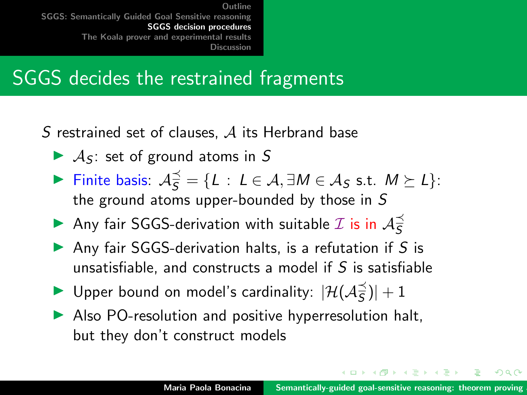#### SGGS decides the restrained fragments

S restrained set of clauses,  $A$  its Herbrand base

- $\blacktriangleright$  A<sub>S</sub>: set of ground atoms in S
- **Finite basis:**  $A_S^{\preceq} = \{L : L \in \mathcal{A}, \exists M \in \mathcal{A}_S \text{ s.t. } M \succeq L\}$ : the ground atoms upper-bounded by those in S
- Any fair SGGS-derivation with suitable  $\mathcal I$  is in  $\mathcal A^{\preceq}_S$ S
- Any fair SGGS-derivation halts, is a refutation if  $S$  is unsatisfiable, and constructs a model if  $S$  is satisfiable
- ▶ Upper bound on model's cardinality:  $|\mathcal{H}(\mathcal{A}_{\overline{S}})$  $\frac{1}{5}$ )| + 1
- $\blacktriangleright$  Also PO-resolution and positive hyperresolution halt, but they don't construct models

 $4.11 \times 4.51 \times 4.71 \times 4.71$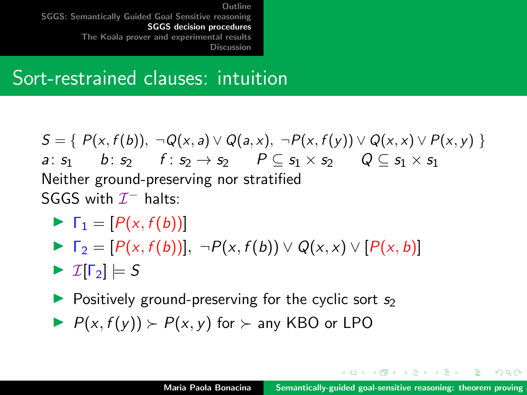#### Sort-restrained clauses: intuition

 $S = \{ P(x, f(b)), \neg Q(x, a) \vee Q(a, x), \neg P(x, f(y)) \vee Q(x, x) \vee P(x, y) \}$ a:  $s_1$  b:  $s_2$  f:  $s_2 \rightarrow s_2$   $P \subset s_1 \times s_2$   $Q \subset s_1 \times s_1$ Neither ground-preserving nor stratified SGGS with  $\mathcal{I}^-$  halts:

- $\blacktriangleright$   $\Gamma_1 = [P(x, f(b))]$
- $\blacktriangleright$   $\Gamma_2 = [P(x, f(b))], \neg P(x, f(b)) \vee Q(x, x) \vee [P(x, b)]$

 $\blacktriangleright$   $\mathcal{I}[\Gamma_2] \models S$ 

- $\triangleright$  Positively ground-preserving for the cyclic sort  $s_2$
- $P(x, f(y)) \succ P(x, y)$  for  $\succ$  any KBO or LPO

イロメ イ押 トイラ トイラ トーラー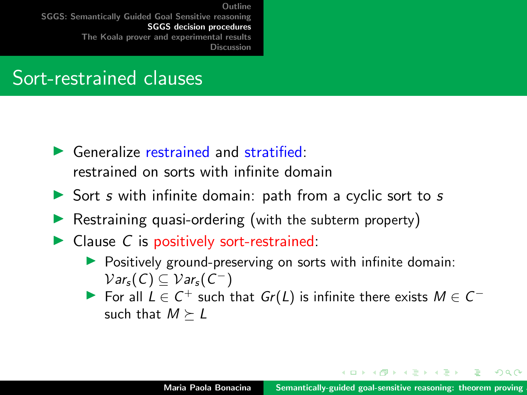#### Sort-restrained clauses

- $\blacktriangleright$  Generalize restrained and stratified: restrained on sorts with infinite domain
- $\triangleright$  Sort s with infinite domain: path from a cyclic sort to s
- Restraining quasi-ordering (with the subterm property)
- $\triangleright$  Clause C is positively sort-restrained:
	- $\triangleright$  Positively ground-preserving on sorts with infinite domain:  $Var_s(C) \subseteq Var_s(C^-)$
	- For all  $L \in C^+$  such that  $Gr(L)$  is infinite there exists  $M \in C^$ such that  $M \succeq L$

イロメ マ桐 トマ ヨ トマ ヨメ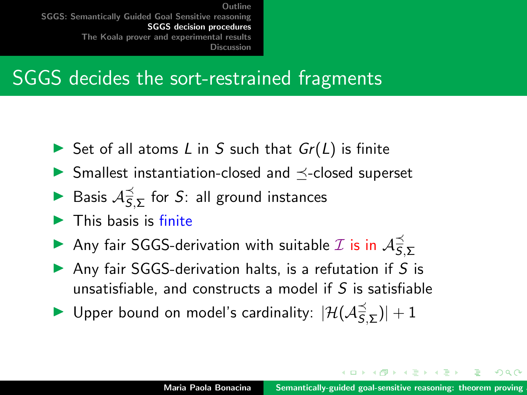#### SGGS decides the sort-restrained fragments

- Set of all atoms L in S such that  $Gr(L)$  is finite
- $\blacktriangleright$  Smallest instantiation-closed and  $\preceq$ -closed superset
- Basis  $A_5^{\preceq}$  $\widehat{\overline{S}},_{\bm{\Sigma}}$  for  $S$ : all ground instances
- $\blacktriangleright$  This basis is finite
- Any fair SGGS-derivation with suitable  $\mathcal I$  is in  $\mathcal A^{\preceq}_S$ S,Σ
- Anv fair SGGS-derivation halts, is a refutation if  $S$  is unsatisfiable, and constructs a model if  $S$  is satisfiable
- ▶ Upper bound on model's cardinality:  $|\mathcal{H}(\mathcal{A}_{\overline{5}})$  $|\widehat{\overline{S}}, \Sigma|$   $+$  1

イロメ イ押 トラ ミトラ ミント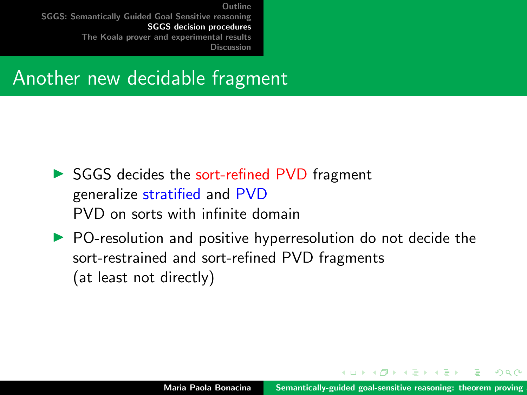#### Another new decidable fragment

- ▶ SGGS decides the sort-refined PVD fragment generalize stratified and PVD PVD on sorts with infinite domain
- $\triangleright$  PO-resolution and positive hyperresolution do not decide the sort-restrained and sort-refined PVD fragments (at least not directly)

**Administration**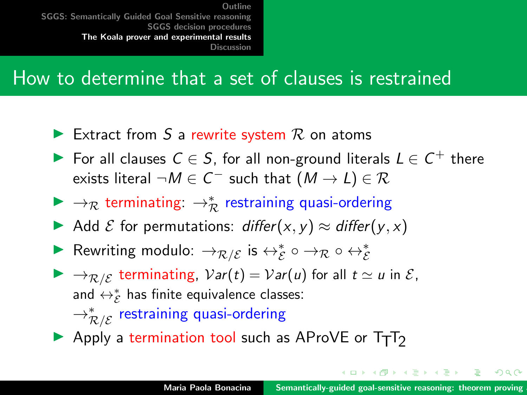#### <span id="page-37-0"></span>How to determine that a set of clauses is restrained

- Extract from S a rewrite system  $R$  on atoms
- For all clauses  $C \in S$ , for all non-ground literals  $L \in C^+$  there exists literal  $\neg M \in C^-$  such that  $(M \to L) \in \mathcal{R}$
- ▶  $\rightarrow_{\mathcal{R}}$  terminating:  $\rightarrow_{\mathcal{R}}^*$  restraining quasi-ordering
- Add  $\mathcal E$  for permutations: differ $(x, y) \approx$  differ $(y, x)$
- ▶ Rewriting modulo:  $\rightarrow_{\mathcal{R}/\mathcal{E}}$  is  $\leftrightarrow_{\mathcal{E}}^* \circ \rightarrow_{\mathcal{R}} \circ \leftrightarrow_{\mathcal{E}}^*$
- $\blacktriangleright \rightarrow_{\mathcal{R}/\mathcal{E}}$  terminating,  $Var(t) = Var(u)$  for all  $t \simeq u$  in  $\mathcal{E},$ and  $\leftrightarrow_{\mathcal{E}}^*$  has finite equivalence classes:  $\rightarrow^*_{{\cal R} /{\cal E}}$  restraining quasi-ordering
- $\triangleright$  Apply a termination tool such as AProVE or T<sub>T</sub>T<sub>2</sub>

イロト イタト イチト イチトー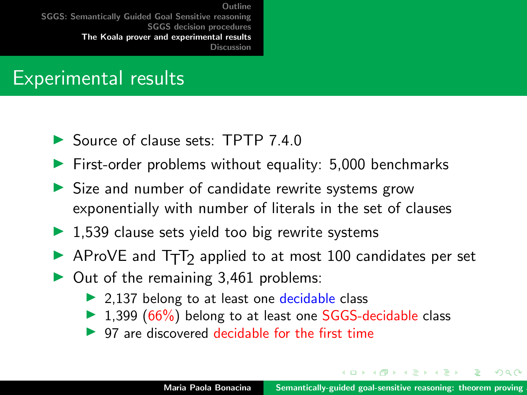#### Experimental results

- ▶ Source of clause sets: TPTP 7.4.0
- $\blacktriangleright$  First-order problems without equality: 5,000 benchmarks
- $\triangleright$  Size and number of candidate rewrite systems grow exponentially with number of literals in the set of clauses
- $\triangleright$  1,539 clause sets yield too big rewrite systems
- $\blacktriangleright$  AProVE and T<sub>T</sub>T<sub>2</sub> applied to at most 100 candidates per set
- $\triangleright$  Out of the remaining 3,461 problems:
	- $\triangleright$  2,137 belong to at least one decidable class
	- $\triangleright$  1,399 (66%) belong to at least one SGGS-decidable class
	- $\triangleright$  97 are discovered decidable for the first time

 $4.013.4.013.4.013.4.013.4.01$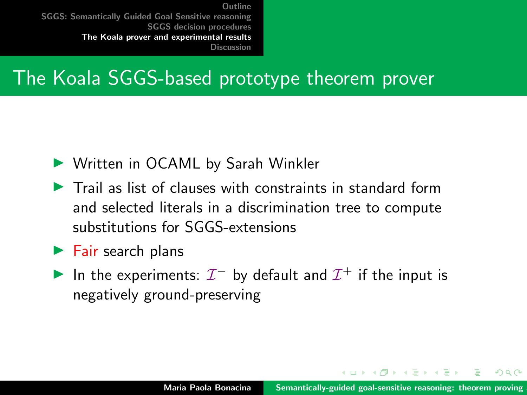#### The Koala SGGS-based prototype theorem prover

- ▶ Written in OCAML by Sarah Winkler
- $\blacktriangleright$  Trail as list of clauses with constraints in standard form and selected literals in a discrimination tree to compute substitutions for SGGS-extensions
- $\blacktriangleright$  Fair search plans
- In the experiments:  $\mathcal{I}^-$  by default and  $\mathcal{I}^+$  if the input is negatively ground-preserving

イロト イ団 トイラトイラ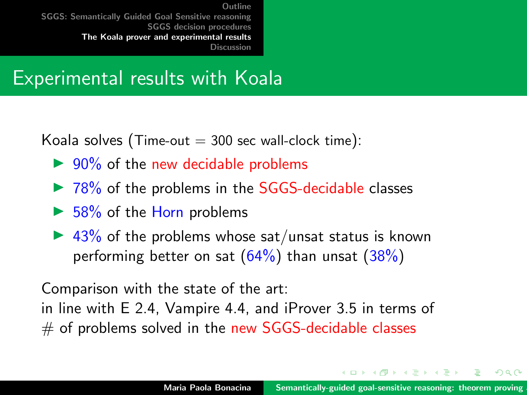#### Experimental results with Koala

Koala solves (Time-out  $=$  300 sec wall-clock time):

- $\triangleright$  90% of the new decidable problems
- $\triangleright$  78% of the problems in the SGGS-decidable classes
- $\triangleright$  58% of the Horn problems
- $\blacktriangleright$  43% of the problems whose sat/unsat status is known performing better on sat  $(64%)$  than unsat  $(38%)$

Comparison with the state of the art: in line with E 2.4, Vampire 4.4, and iProver 3.5 in terms of  $#$  of problems solved in the new SGGS-decidable classes

イロメ マ桐 トマ ヨ トマ ヨメ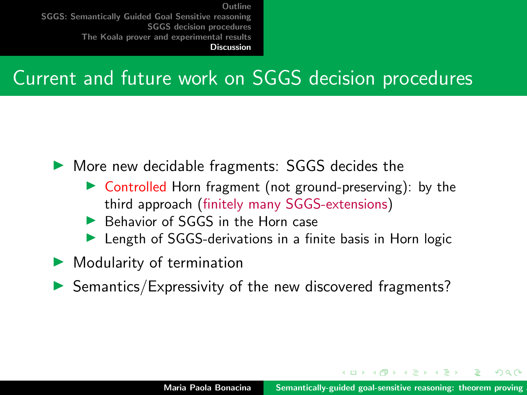## <span id="page-41-0"></span>Current and future work on SGGS decision procedures

 $\triangleright$  More new decidable fragments: SGGS decides the

- $\triangleright$  Controlled Horn fragment (not ground-preserving): by the third approach (finitely many SGGS-extensions)
- Behavior of SGGS in the Horn case
- $\blacktriangleright$  Length of SGGS-derivations in a finite basis in Horn logic
- $\blacktriangleright$  Modularity of termination
- $\blacktriangleright$  Semantics/Expressivity of the new discovered fragments?

イロメ マ桐 トマ ヨ トマ ヨメ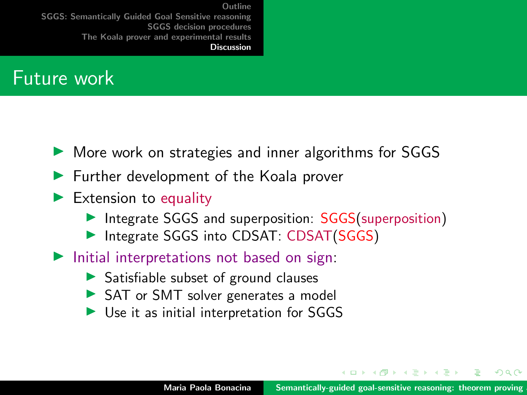#### Future work

- $\triangleright$  More work on strategies and inner algorithms for SGGS
- $\blacktriangleright$  Further development of the Koala prover
- $\blacktriangleright$  Extension to equality
	- Integrate SGGS and superposition: SGGS(superposition)
	- Integrate SGGS into CDSAT: CDSAT(SGGS)
- $\blacktriangleright$  Initial interpretations not based on sign:
	- $\triangleright$  Satisfiable subset of ground clauses
	- ▶ SAT or SMT solver generates a model
	- $\triangleright$  Use it as initial interpretation for SGGS

イロト イ団ト イミト イミ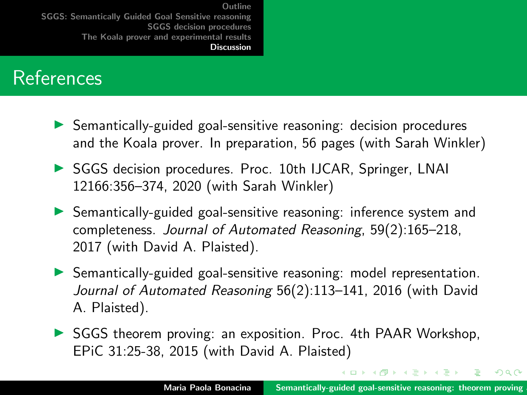#### References

- $\triangleright$  Semantically-guided goal-sensitive reasoning: decision procedures and the Koala prover. In preparation, 56 pages (with Sarah Winkler)
- ▶ SGGS decision procedures. Proc. 10th IJCAR, Springer, LNAI 12166:356–374, 2020 (with Sarah Winkler)
- $\triangleright$  Semantically-guided goal-sensitive reasoning: inference system and completeness. Journal of Automated Reasoning, 59(2):165–218, 2017 (with David A. Plaisted).
- **In Semantically-guided goal-sensitive reasoning: model representation.** Journal of Automated Reasoning 56(2):113–141, 2016 (with David A. Plaisted).
- $\triangleright$  SGGS theorem proving: an exposition. Proc. 4th PAAR Workshop, EPiC 31:25-38, 2015 (with David A. Plaisted)

イロメ イ押 トイモ トイモ トー